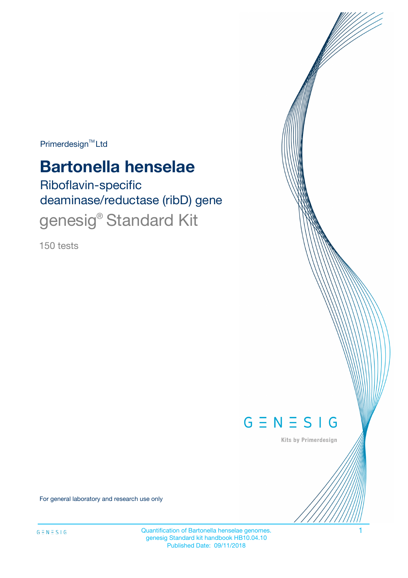Primerdesign<sup>™</sup>Ltd

# **Bartonella henselae**

Riboflavin-specific deaminase/reductase (ribD) gene genesig<sup>®</sup> Standard Kit

150 tests



Kits by Primerdesign

For general laboratory and research use only

Quantification of Bartonella henselae genomes. 1 genesig Standard kit handbook HB10.04.10 Published Date: 09/11/2018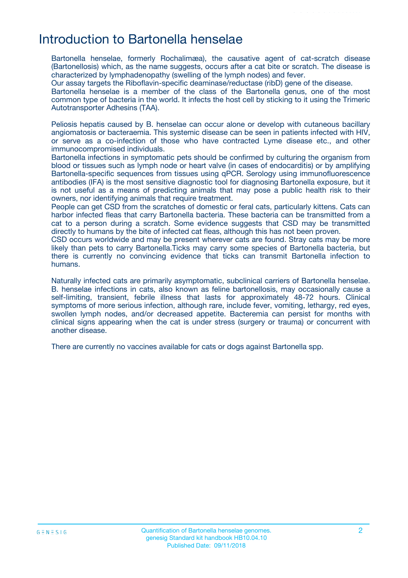## Introduction to Bartonella henselae

Bartonella henselae, formerly Rochalimæa), the causative agent of cat-scratch disease (Bartonellosis) which, as the name suggests, occurs after a cat bite or scratch. The disease is characterized by lymphadenopathy (swelling of the lymph nodes) and fever.

Our assay targets the Riboflavin-specific deaminase/reductase (ribD) gene of the disease.

Bartonella henselae is a member of the class of the Bartonella genus, one of the most common type of bacteria in the world. It infects the host cell by sticking to it using the Trimeric Autotransporter Adhesins (TAA).

Peliosis hepatis caused by B. henselae can occur alone or develop with cutaneous bacillary angiomatosis or bacteraemia. This systemic disease can be seen in patients infected with HIV, or serve as a co-infection of those who have contracted Lyme disease etc., and other immunocompromised individuals.

Bartonella infections in symptomatic pets should be confirmed by culturing the organism from blood or tissues such as lymph node or heart valve (in cases of endocarditis) or by amplifying Bartonella-specific sequences from tissues using qPCR. Serology using immunofluorescence antibodies (IFA) is the most sensitive diagnostic tool for diagnosing Bartonella exposure, but it is not useful as a means of predicting animals that may pose a public health risk to their owners, nor identifying animals that require treatment.

People can get CSD from the scratches of domestic or feral cats, particularly kittens. Cats can harbor infected fleas that carry Bartonella bacteria. These bacteria can be transmitted from a cat to a person during a scratch. Some evidence suggests that CSD may be transmitted directly to humans by the bite of infected cat fleas, although this has not been proven.

CSD occurs worldwide and may be present wherever cats are found. Stray cats may be more likely than pets to carry Bartonella.Ticks may carry some species of Bartonella bacteria, but there is currently no convincing evidence that ticks can transmit Bartonella infection to humans.

Naturally infected cats are primarily asymptomatic, subclinical carriers of Bartonella henselae. B. henselae infections in cats, also known as feline bartonellosis, may occasionally cause a self-limiting, transient, febrile illness that lasts for approximately 48-72 hours. Clinical symptoms of more serious infection, although rare, include fever, vomiting, lethargy, red eyes, swollen lymph nodes, and/or decreased appetite. Bacteremia can persist for months with clinical signs appearing when the cat is under stress (surgery or trauma) or concurrent with another disease.

There are currently no vaccines available for cats or dogs against Bartonella spp.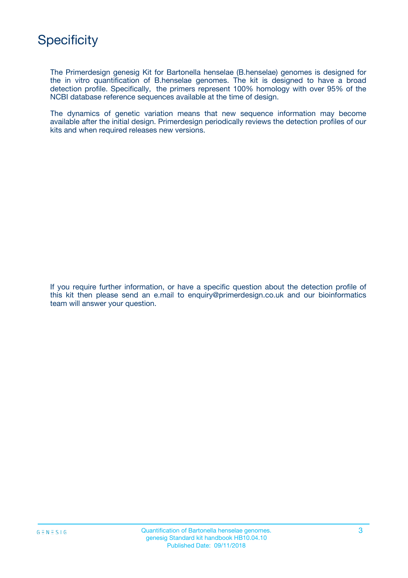

The Primerdesign genesig Kit for Bartonella henselae (B.henselae) genomes is designed for the in vitro quantification of B.henselae genomes. The kit is designed to have a broad detection profile. Specifically, the primers represent 100% homology with over 95% of the NCBI database reference sequences available at the time of design.

The dynamics of genetic variation means that new sequence information may become available after the initial design. Primerdesign periodically reviews the detection profiles of our kits and when required releases new versions.

If you require further information, or have a specific question about the detection profile of this kit then please send an e.mail to enquiry@primerdesign.co.uk and our bioinformatics team will answer your question.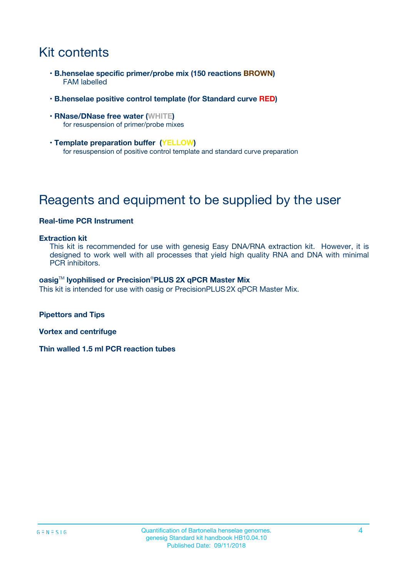## Kit contents

- **B.henselae specific primer/probe mix (150 reactions BROWN)** FAM labelled
- **B.henselae positive control template (for Standard curve RED)**
- **RNase/DNase free water (WHITE)** for resuspension of primer/probe mixes
- **Template preparation buffer (YELLOW)** for resuspension of positive control template and standard curve preparation

## Reagents and equipment to be supplied by the user

#### **Real-time PCR Instrument**

#### **Extraction kit**

This kit is recommended for use with genesig Easy DNA/RNA extraction kit. However, it is designed to work well with all processes that yield high quality RNA and DNA with minimal PCR inhibitors.

#### **oasig**TM **lyophilised or Precision**®**PLUS 2X qPCR Master Mix**

This kit is intended for use with oasig or PrecisionPLUS2X qPCR Master Mix.

**Pipettors and Tips**

**Vortex and centrifuge**

**Thin walled 1.5 ml PCR reaction tubes**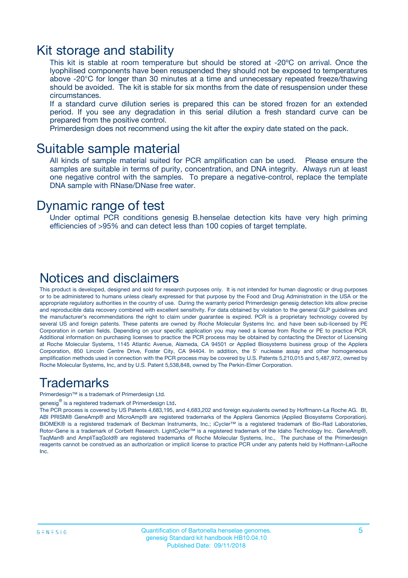### Kit storage and stability

This kit is stable at room temperature but should be stored at -20ºC on arrival. Once the lyophilised components have been resuspended they should not be exposed to temperatures above -20°C for longer than 30 minutes at a time and unnecessary repeated freeze/thawing should be avoided. The kit is stable for six months from the date of resuspension under these circumstances.

If a standard curve dilution series is prepared this can be stored frozen for an extended period. If you see any degradation in this serial dilution a fresh standard curve can be prepared from the positive control.

Primerdesign does not recommend using the kit after the expiry date stated on the pack.

### Suitable sample material

All kinds of sample material suited for PCR amplification can be used. Please ensure the samples are suitable in terms of purity, concentration, and DNA integrity. Always run at least one negative control with the samples. To prepare a negative-control, replace the template DNA sample with RNase/DNase free water.

### Dynamic range of test

Under optimal PCR conditions genesig B.henselae detection kits have very high priming efficiencies of >95% and can detect less than 100 copies of target template.

### Notices and disclaimers

This product is developed, designed and sold for research purposes only. It is not intended for human diagnostic or drug purposes or to be administered to humans unless clearly expressed for that purpose by the Food and Drug Administration in the USA or the appropriate regulatory authorities in the country of use. During the warranty period Primerdesign genesig detection kits allow precise and reproducible data recovery combined with excellent sensitivity. For data obtained by violation to the general GLP guidelines and the manufacturer's recommendations the right to claim under guarantee is expired. PCR is a proprietary technology covered by several US and foreign patents. These patents are owned by Roche Molecular Systems Inc. and have been sub-licensed by PE Corporation in certain fields. Depending on your specific application you may need a license from Roche or PE to practice PCR. Additional information on purchasing licenses to practice the PCR process may be obtained by contacting the Director of Licensing at Roche Molecular Systems, 1145 Atlantic Avenue, Alameda, CA 94501 or Applied Biosystems business group of the Applera Corporation, 850 Lincoln Centre Drive, Foster City, CA 94404. In addition, the 5' nuclease assay and other homogeneous amplification methods used in connection with the PCR process may be covered by U.S. Patents 5,210,015 and 5,487,972, owned by Roche Molecular Systems, Inc, and by U.S. Patent 5,538,848, owned by The Perkin-Elmer Corporation.

### Trademarks

Primerdesign™ is a trademark of Primerdesign Ltd.

genesig $^\circledR$  is a registered trademark of Primerdesign Ltd.

The PCR process is covered by US Patents 4,683,195, and 4,683,202 and foreign equivalents owned by Hoffmann-La Roche AG. BI, ABI PRISM® GeneAmp® and MicroAmp® are registered trademarks of the Applera Genomics (Applied Biosystems Corporation). BIOMEK® is a registered trademark of Beckman Instruments, Inc.; iCycler™ is a registered trademark of Bio-Rad Laboratories, Rotor-Gene is a trademark of Corbett Research. LightCycler™ is a registered trademark of the Idaho Technology Inc. GeneAmp®, TaqMan® and AmpliTaqGold® are registered trademarks of Roche Molecular Systems, Inc., The purchase of the Primerdesign reagents cannot be construed as an authorization or implicit license to practice PCR under any patents held by Hoffmann-LaRoche Inc.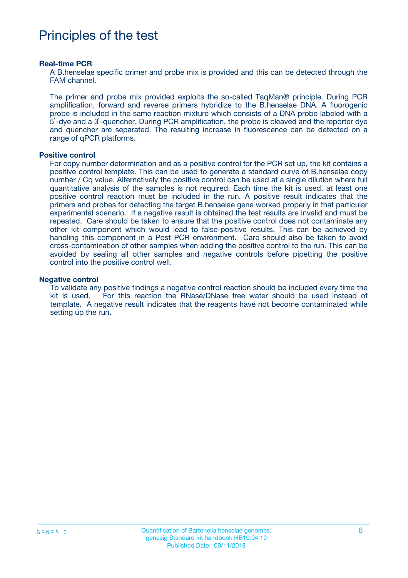## Principles of the test

#### **Real-time PCR**

A B.henselae specific primer and probe mix is provided and this can be detected through the FAM channel.

The primer and probe mix provided exploits the so-called TaqMan® principle. During PCR amplification, forward and reverse primers hybridize to the B.henselae DNA. A fluorogenic probe is included in the same reaction mixture which consists of a DNA probe labeled with a 5`-dye and a 3`-quencher. During PCR amplification, the probe is cleaved and the reporter dye and quencher are separated. The resulting increase in fluorescence can be detected on a range of qPCR platforms.

#### **Positive control**

For copy number determination and as a positive control for the PCR set up, the kit contains a positive control template. This can be used to generate a standard curve of B.henselae copy number / Cq value. Alternatively the positive control can be used at a single dilution where full quantitative analysis of the samples is not required. Each time the kit is used, at least one positive control reaction must be included in the run. A positive result indicates that the primers and probes for detecting the target B.henselae gene worked properly in that particular experimental scenario. If a negative result is obtained the test results are invalid and must be repeated. Care should be taken to ensure that the positive control does not contaminate any other kit component which would lead to false-positive results. This can be achieved by handling this component in a Post PCR environment. Care should also be taken to avoid cross-contamination of other samples when adding the positive control to the run. This can be avoided by sealing all other samples and negative controls before pipetting the positive control into the positive control well.

#### **Negative control**

To validate any positive findings a negative control reaction should be included every time the kit is used. For this reaction the RNase/DNase free water should be used instead of template. A negative result indicates that the reagents have not become contaminated while setting up the run.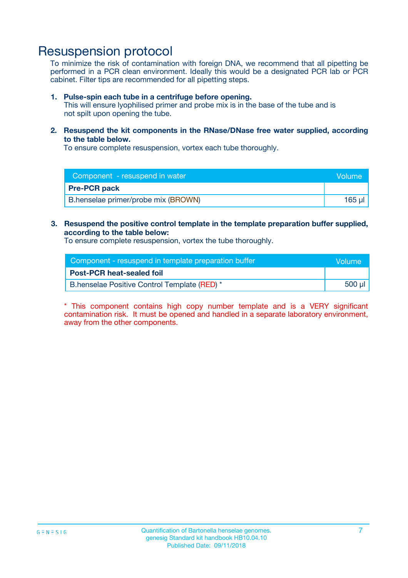## Resuspension protocol

To minimize the risk of contamination with foreign DNA, we recommend that all pipetting be performed in a PCR clean environment. Ideally this would be a designated PCR lab or PCR cabinet. Filter tips are recommended for all pipetting steps.

#### **1. Pulse-spin each tube in a centrifuge before opening.**

This will ensure lyophilised primer and probe mix is in the base of the tube and is not spilt upon opening the tube.

**2. Resuspend the kit components in the RNase/DNase free water supplied, according to the table below.**

To ensure complete resuspension, vortex each tube thoroughly.

| Component - resuspend in water      | <b>Nolume</b> |
|-------------------------------------|---------------|
| <b>Pre-PCR pack</b>                 |               |
| B.henselae primer/probe mix (BROWN) | 165 ul        |

### **3. Resuspend the positive control template in the template preparation buffer supplied, according to the table below:**

To ensure complete resuspension, vortex the tube thoroughly.

| Component - resuspend in template preparation buffer | Wolume! |
|------------------------------------------------------|---------|
| <b>Post-PCR heat-sealed foil</b>                     |         |
| B.henselae Positive Control Template (RED) *         | 500 µl  |

\* This component contains high copy number template and is a VERY significant contamination risk. It must be opened and handled in a separate laboratory environment, away from the other components.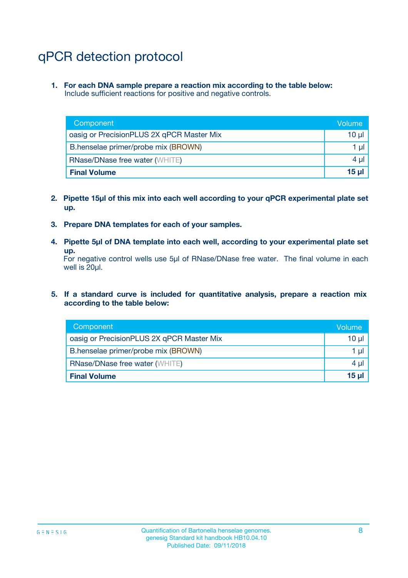## qPCR detection protocol

**1. For each DNA sample prepare a reaction mix according to the table below:** Include sufficient reactions for positive and negative controls.

| Component                                 | Volume          |
|-------------------------------------------|-----------------|
| oasig or PrecisionPLUS 2X qPCR Master Mix | $10 \mu$        |
| B.henselae primer/probe mix (BROWN)       | 1 µI            |
| <b>RNase/DNase free water (WHITE)</b>     | $4 \mu$         |
| <b>Final Volume</b>                       | 15 <sub>µ</sub> |

- **2. Pipette 15µl of this mix into each well according to your qPCR experimental plate set up.**
- **3. Prepare DNA templates for each of your samples.**
- **4. Pipette 5µl of DNA template into each well, according to your experimental plate set up.**

For negative control wells use 5µl of RNase/DNase free water. The final volume in each well is 20µl.

**5. If a standard curve is included for quantitative analysis, prepare a reaction mix according to the table below:**

| Component                                 | Volume          |
|-------------------------------------------|-----------------|
| oasig or PrecisionPLUS 2X qPCR Master Mix | 10 µl           |
| B.henselae primer/probe mix (BROWN)       | 1 µI            |
| <b>RNase/DNase free water (WHITE)</b>     | $4 \mu$         |
| <b>Final Volume</b>                       | 15 <sub>µ</sub> |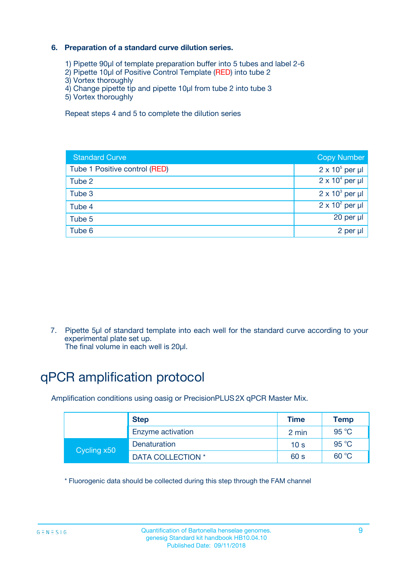### **6. Preparation of a standard curve dilution series.**

- 1) Pipette 90µl of template preparation buffer into 5 tubes and label 2-6
- 2) Pipette 10µl of Positive Control Template (RED) into tube 2
- 3) Vortex thoroughly
- 4) Change pipette tip and pipette 10µl from tube 2 into tube 3
- 5) Vortex thoroughly

Repeat steps 4 and 5 to complete the dilution series

| <b>Standard Curve</b>         | <b>Copy Number</b>     |
|-------------------------------|------------------------|
| Tube 1 Positive control (RED) | $2 \times 10^5$ per µl |
| Tube 2                        | $2 \times 10^4$ per µl |
| Tube 3                        | $2 \times 10^3$ per µl |
| Tube 4                        | $2 \times 10^2$ per µl |
| Tube 5                        | 20 per µl              |
| Tube 6                        | $2$ per $\mu$          |

7. Pipette 5µl of standard template into each well for the standard curve according to your experimental plate set up.

The final volume in each well is 20µl.

## qPCR amplification protocol

Amplification conditions using oasig or PrecisionPLUS2X qPCR Master Mix.

| <b>Step</b> |                   | <b>Time</b>     | Temp    |
|-------------|-------------------|-----------------|---------|
|             | Enzyme activation | 2 min           | 95 °C   |
| Cycling x50 | Denaturation      | 10 <sub>s</sub> | 95 $°C$ |
|             | DATA COLLECTION * | 60 s            | 60 °C   |

\* Fluorogenic data should be collected during this step through the FAM channel